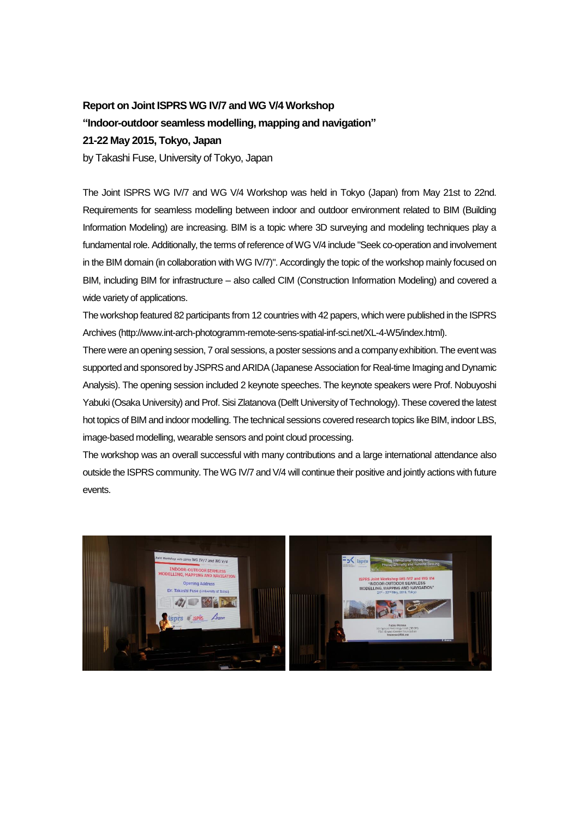## **Report on Joint ISPRS WG IV/7 and WG V/4 Workshop**

## **"Indoor-outdoor seamless modelling, mapping and navigation"**

## **21-22 May 2015, Tokyo, Japan**

by Takashi Fuse, University of Tokyo, Japan

The Joint ISPRS WG IV/7 and WG V/4 Workshop was held in Tokyo (Japan) from May 21st to 22nd. Requirements for seamless modelling between indoor and outdoor environment related to BIM (Building Information Modeling) are increasing. BIM is a topic where 3D surveying and modeling techniques play a fundamental role. Additionally, the terms of reference of WG V/4 include "Seek co-operation and involvement in the BIM domain (in collaboration with WG IV/7)". Accordingly the topic of the workshop mainly focused on BIM, including BIM for infrastructure – also called CIM (Construction Information Modeling) and covered a wide variety of applications.

The workshop featured 82 participants from 12 countries with 42 papers, which were published in the ISPRS Archives (http://www.int-arch-photogramm-remote-sens-spatial-inf-sci.net/XL-4-W5/index.html).

There were an opening session, 7 oral sessions, a poster sessions and a company exhibition. The event was supported and sponsored by JSPRS and ARIDA (Japanese Association for Real-time Imaging and Dynamic Analysis). The opening session included 2 keynote speeches. The keynote speakers were Prof. Nobuyoshi Yabuki (Osaka University) and Prof. Sisi Zlatanova (Delft University of Technology). These covered the latest hot topics of BIM and indoor modelling. The technical sessions covered research topics like BIM, indoor LBS, image-based modelling, wearable sensors and point cloud processing.

The workshop was an overall successful with many contributions and a large international attendance also outside the ISPRS community. The WG IV/7 and V/4 will continue their positive and jointly actions with future events.